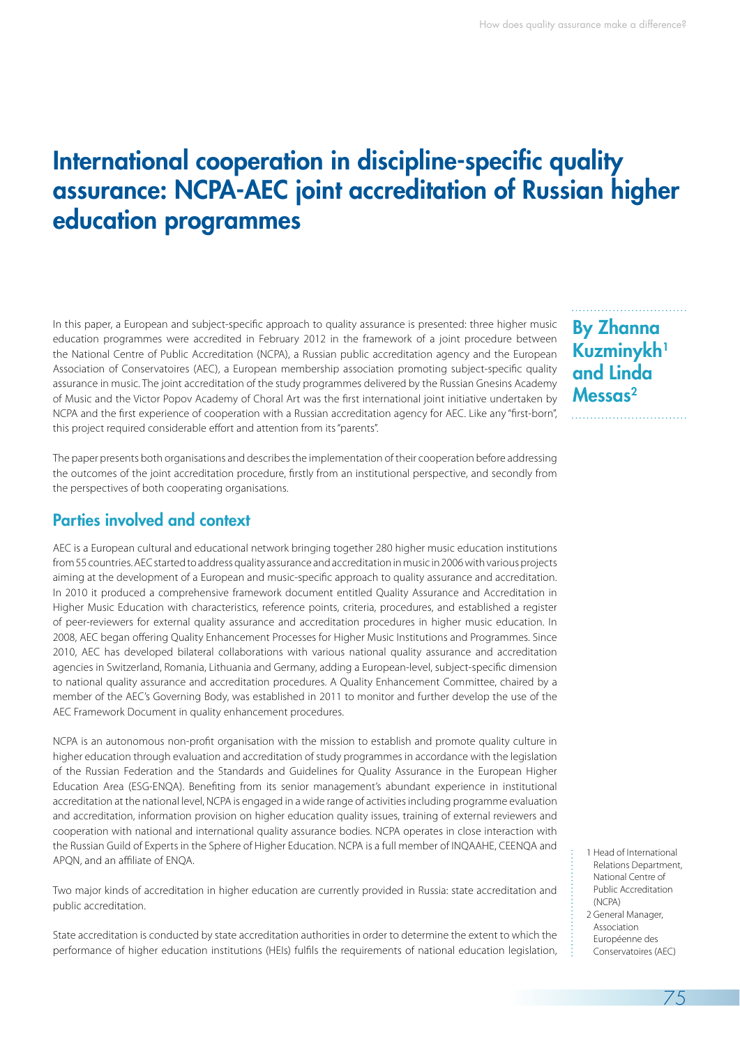# International cooperation in discipline-specific quality assurance: NCPA-AEC joint accreditation of Russian higher education programmes

In this paper, a European and subject-specific approach to quality assurance is presented: three higher music education programmes were accredited in February 2012 in the framework of a joint procedure between the National Centre of Public Accreditation (NCPA), a Russian public accreditation agency and the European Association of Conservatoires (AEC), a European membership association promoting subject-specific quality assurance in music. The joint accreditation of the study programmes delivered by the Russian Gnesins Academy of Music and the Victor Popov Academy of Choral Art was the first international joint initiative undertaken by NCPA and the first experience of cooperation with a Russian accreditation agency for AEC. Like any "first-born", this project required considerable effort and attention from its "parents".

The paper presents both organisations and describes the implementation of their cooperation before addressing the outcomes of the joint accreditation procedure, firstly from an institutional perspective, and secondly from the perspectives of both cooperating organisations.

### Parties involved and context

AEC is a European cultural and educational network bringing together 280 higher music education institutions from 55 countries. AEC started to address quality assurance and accreditation in music in 2006 with various projects aiming at the development of a European and music-specific approach to quality assurance and accreditation. In 2010 it produced a comprehensive framework document entitled Quality Assurance and Accreditation in Higher Music Education with characteristics, reference points, criteria, procedures, and established a register of peer-reviewers for external quality assurance and accreditation procedures in higher music education. In 2008, AEC began offering Quality Enhancement Processes for Higher Music Institutions and Programmes. Since 2010, AEC has developed bilateral collaborations with various national quality assurance and accreditation agencies in Switzerland, Romania, Lithuania and Germany, adding a European-level, subject-specific dimension to national quality assurance and accreditation procedures. A Quality Enhancement Committee, chaired by a member of the AEC's Governing Body, was established in 2011 to monitor and further develop the use of the AEC Framework Document in quality enhancement procedures.

NCPA is an autonomous non-profit organisation with the mission to establish and promote quality culture in higher education through evaluation and accreditation of study programmes in accordance with the legislation of the Russian Federation and the Standards and Guidelines for Quality Assurance in the European Higher Education Area (ESG-ENQA). Benefiting from its senior management's abundant experience in institutional accreditation at the national level, NCPA is engaged in a wide range of activities including programme evaluation and accreditation, information provision on higher education quality issues, training of external reviewers and cooperation with national and international quality assurance bodies. NCPA operates in close interaction with the Russian Guild of Experts in the Sphere of Higher Education. NCPA is a full member of INQAAHE, CEENQA and APQN, and an affiliate of ENQA.

Two major kinds of accreditation in higher education are currently provided in Russia: state accreditation and public accreditation.

State accreditation is conducted by state accreditation authorities in order to determine the extent to which the performance of higher education institutions (HEIs) fulfils the requirements of national education legislation,

By Zhanna Kuzminykh<sup>1</sup> and Linda Messas<sup>2</sup>

- 1 Head of International Relations Department, National Centre of Public Accreditation (NCPA)
- 2 General Manager, Association Européenne des Conservatoires (AEC)

75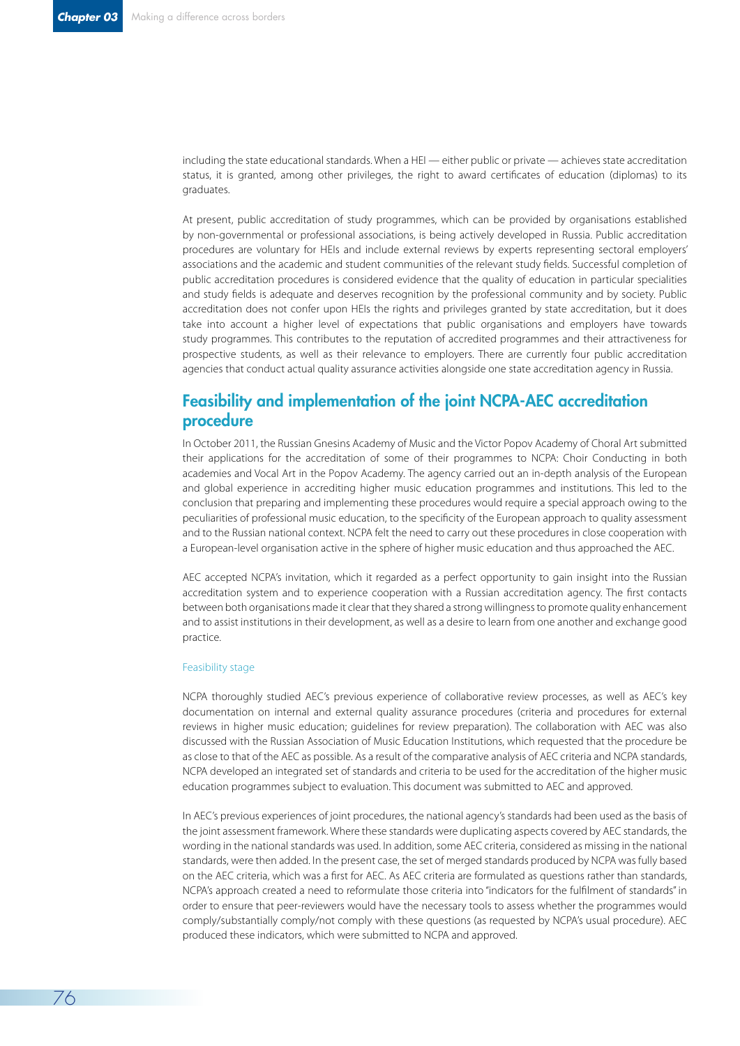including the state educational standards. When a HEI — either public or private — achieves state accreditation status, it is granted, among other privileges, the right to award certificates of education (diplomas) to its graduates.

At present, public accreditation of study programmes, which can be provided by organisations established by non-governmental or professional associations, is being actively developed in Russia. Public accreditation procedures are voluntary for HEIs and include external reviews by experts representing sectoral employers' associations and the academic and student communities of the relevant study fields. Successful completion of public accreditation procedures is considered evidence that the quality of education in particular specialities and study fields is adequate and deserves recognition by the professional community and by society. Public accreditation does not confer upon HEIs the rights and privileges granted by state accreditation, but it does take into account a higher level of expectations that public organisations and employers have towards study programmes. This contributes to the reputation of accredited programmes and their attractiveness for prospective students, as well as their relevance to employers. There are currently four public accreditation agencies that conduct actual quality assurance activities alongside one state accreditation agency in Russia.

## Feasibility and implementation of the joint NCPA-AEC accreditation procedure

In October 2011, the Russian Gnesins Academy of Music and the Victor Popov Academy of Choral Art submitted their applications for the accreditation of some of their programmes to NCPA: Choir Conducting in both academies and Vocal Art in the Popov Academy. The agency carried out an in-depth analysis of the European and global experience in accrediting higher music education programmes and institutions. This led to the conclusion that preparing and implementing these procedures would require a special approach owing to the peculiarities of professional music education, to the specificity of the European approach to quality assessment and to the Russian national context. NCPA felt the need to carry out these procedures in close cooperation with a European-level organisation active in the sphere of higher music education and thus approached the AEC.

AEC accepted NCPA's invitation, which it regarded as a perfect opportunity to gain insight into the Russian accreditation system and to experience cooperation with a Russian accreditation agency. The first contacts between both organisations made it clear that they shared a strong willingness to promote quality enhancement and to assist institutions in their development, as well as a desire to learn from one another and exchange good practice.

#### Feasibility stage

NCPA thoroughly studied AEC's previous experience of collaborative review processes, as well as AEC's key documentation on internal and external quality assurance procedures (criteria and procedures for external reviews in higher music education; guidelines for review preparation). The collaboration with AEC was also discussed with the Russian Association of Music Education Institutions, which requested that the procedure be as close to that of the AEC as possible. As a result of the comparative analysis of AEC criteria and NCPA standards, NCPA developed an integrated set of standards and criteria to be used for the accreditation of the higher music education programmes subject to evaluation. This document was submitted to AEC and approved.

In AEC's previous experiences of joint procedures, the national agency's standards had been used as the basis of the joint assessment framework. Where these standards were duplicating aspects covered by AEC standards, the wording in the national standards was used. In addition, some AEC criteria, considered as missing in the national standards, were then added. In the present case, the set of merged standards produced by NCPA was fully based on the AEC criteria, which was a first for AEC. As AEC criteria are formulated as questions rather than standards, NCPA's approach created a need to reformulate those criteria into "indicators for the fulfilment of standards" in order to ensure that peer-reviewers would have the necessary tools to assess whether the programmes would comply/substantially comply/not comply with these questions (as requested by NCPA's usual procedure). AEC produced these indicators, which were submitted to NCPA and approved.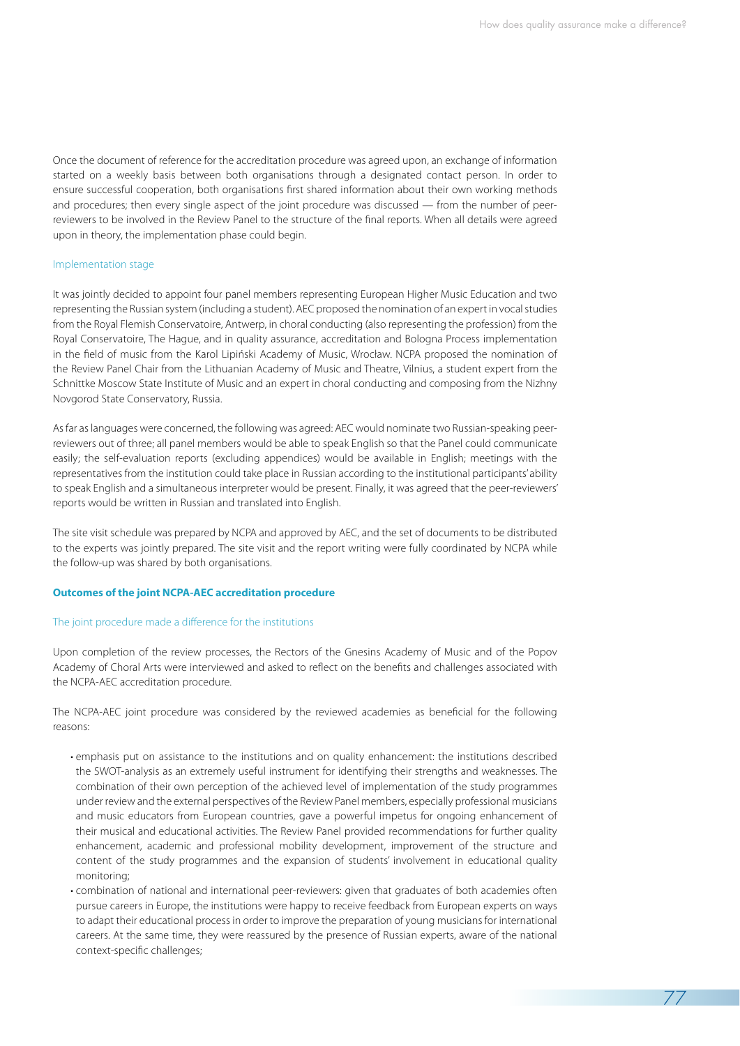77

Once the document of reference for the accreditation procedure was agreed upon, an exchange of information started on a weekly basis between both organisations through a designated contact person. In order to ensure successful cooperation, both organisations first shared information about their own working methods and procedures; then every single aspect of the joint procedure was discussed — from the number of peerreviewers to be involved in the Review Panel to the structure of the final reports. When all details were agreed upon in theory, the implementation phase could begin.

#### Implementation stage

It was jointly decided to appoint four panel members representing European Higher Music Education and two representing the Russian system (including a student). AEC proposed the nomination of an expert in vocal studies from the Royal Flemish Conservatoire, Antwerp, in choral conducting (also representing the profession) from the Royal Conservatoire, The Hague, and in quality assurance, accreditation and Bologna Process implementation in the field of music from the Karol Lipiński Academy of Music, Wrocław. NCPA proposed the nomination of the Review Panel Chair from the Lithuanian Academy of Music and Theatre, Vilnius, a student expert from the Schnittke Moscow State Institute of Music and an expert in choral conducting and composing from the Nizhny Novgorod State Conservatory, Russia.

As far as languages were concerned, the following was agreed: AEC would nominate two Russian-speaking peerreviewers out of three; all panel members would be able to speak English so that the Panel could communicate easily; the self-evaluation reports (excluding appendices) would be available in English; meetings with the representatives from the institution could take place in Russian according to the institutional participants' ability to speak English and a simultaneous interpreter would be present. Finally, it was agreed that the peer-reviewers' reports would be written in Russian and translated into English.

The site visit schedule was prepared by NCPA and approved by AEC, and the set of documents to be distributed to the experts was jointly prepared. The site visit and the report writing were fully coordinated by NCPA while the follow-up was shared by both organisations.

#### **Outcomes of the joint NCPA-AEC accreditation procedure**

#### The joint procedure made a difference for the institutions

Upon completion of the review processes, the Rectors of the Gnesins Academy of Music and of the Popov Academy of Choral Arts were interviewed and asked to reflect on the benefits and challenges associated with the NCPA-AEC accreditation procedure.

The NCPA-AEC joint procedure was considered by the reviewed academies as beneficial for the following reasons:

- emphasis put on assistance to the institutions and on quality enhancement: the institutions described the SWOT-analysis as an extremely useful instrument for identifying their strengths and weaknesses. The combination of their own perception of the achieved level of implementation of the study programmes under review and the external perspectives of the Review Panel members, especially professional musicians and music educators from European countries, gave a powerful impetus for ongoing enhancement of their musical and educational activities. The Review Panel provided recommendations for further quality enhancement, academic and professional mobility development, improvement of the structure and content of the study programmes and the expansion of students' involvement in educational quality monitoring;
- combination of national and international peer-reviewers: given that graduates of both academies often pursue careers in Europe, the institutions were happy to receive feedback from European experts on ways to adapt their educational process in order to improve the preparation of young musicians for international careers. At the same time, they were reassured by the presence of Russian experts, aware of the national context-specific challenges;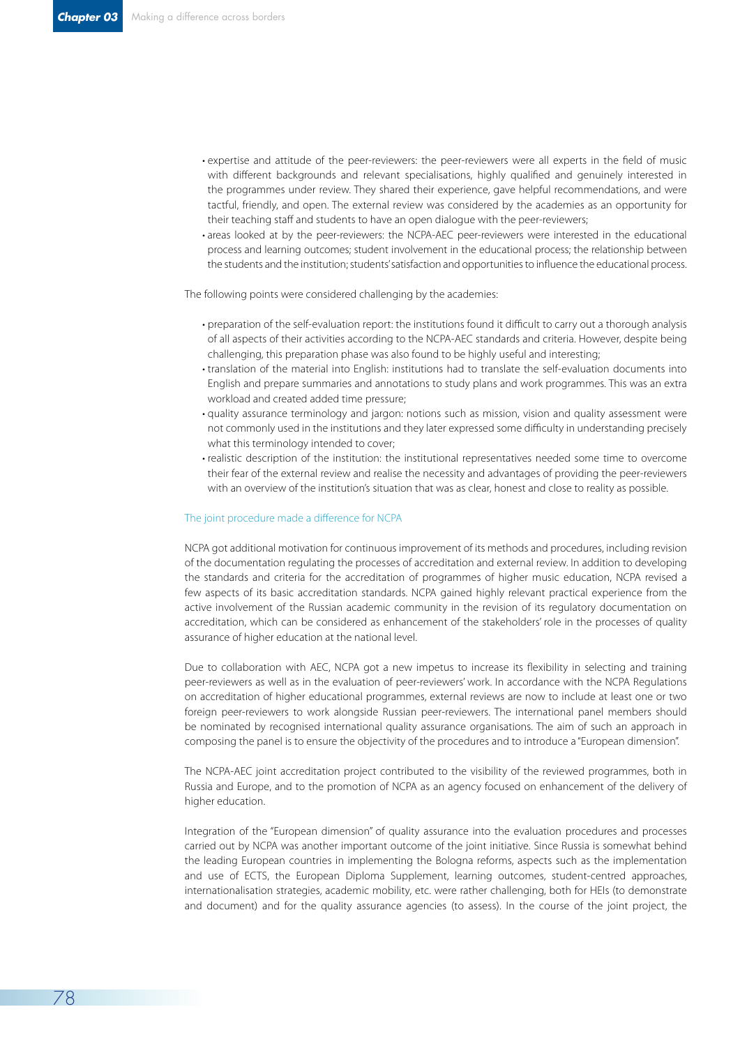- expertise and attitude of the peer-reviewers: the peer-reviewers were all experts in the field of music with different backgrounds and relevant specialisations, highly qualified and genuinely interested in the programmes under review. They shared their experience, gave helpful recommendations, and were tactful, friendly, and open. The external review was considered by the academies as an opportunity for their teaching staff and students to have an open dialogue with the peer-reviewers;
- areas looked at by the peer-reviewers: the NCPA-AEC peer-reviewers were interested in the educational process and learning outcomes; student involvement in the educational process; the relationship between the students and the institution; students' satisfaction and opportunities to influence the educational process.

The following points were considered challenging by the academies:

- preparation of the self-evaluation report: the institutions found it difficult to carry out a thorough analysis of all aspects of their activities according to the NCPA-AEC standards and criteria. However, despite being challenging, this preparation phase was also found to be highly useful and interesting;
- translation of the material into English: institutions had to translate the self-evaluation documents into English and prepare summaries and annotations to study plans and work programmes. This was an extra workload and created added time pressure;
- quality assurance terminology and jargon: notions such as mission, vision and quality assessment were not commonly used in the institutions and they later expressed some difficulty in understanding precisely what this terminology intended to cover;
- realistic description of the institution: the institutional representatives needed some time to overcome their fear of the external review and realise the necessity and advantages of providing the peer-reviewers with an overview of the institution's situation that was as clear, honest and close to reality as possible.

#### The joint procedure made a difference for NCPA

NCPA got additional motivation for continuous improvement of its methods and procedures, including revision of the documentation regulating the processes of accreditation and external review. In addition to developing the standards and criteria for the accreditation of programmes of higher music education, NCPA revised a few aspects of its basic accreditation standards. NCPA gained highly relevant practical experience from the active involvement of the Russian academic community in the revision of its regulatory documentation on accreditation, which can be considered as enhancement of the stakeholders' role in the processes of quality assurance of higher education at the national level.

Due to collaboration with AEC, NCPA got a new impetus to increase its flexibility in selecting and training peer-reviewers as well as in the evaluation of peer-reviewers' work. In accordance with the NCPA Regulations on accreditation of higher educational programmes, external reviews are now to include at least one or two foreign peer-reviewers to work alongside Russian peer-reviewers. The international panel members should be nominated by recognised international quality assurance organisations. The aim of such an approach in composing the panel is to ensure the objectivity of the procedures and to introduce a "European dimension".

The NCPA-AEC joint accreditation project contributed to the visibility of the reviewed programmes, both in Russia and Europe, and to the promotion of NCPA as an agency focused on enhancement of the delivery of higher education.

Integration of the "European dimension" of quality assurance into the evaluation procedures and processes carried out by NCPA was another important outcome of the joint initiative. Since Russia is somewhat behind the leading European countries in implementing the Bologna reforms, aspects such as the implementation and use of ECTS, the European Diploma Supplement, learning outcomes, student-centred approaches, internationalisation strategies, academic mobility, etc. were rather challenging, both for HEIs (to demonstrate and document) and for the quality assurance agencies (to assess). In the course of the joint project, the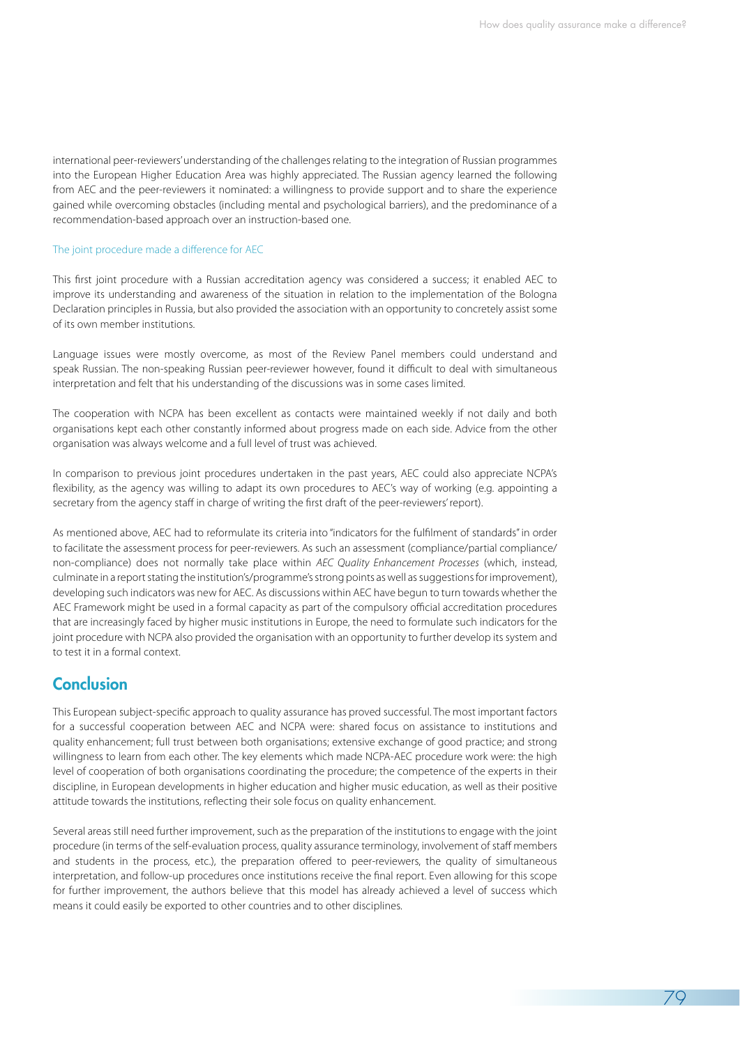international peer-reviewers' understanding of the challenges relating to the integration of Russian programmes into the European Higher Education Area was highly appreciated. The Russian agency learned the following from AEC and the peer-reviewers it nominated: a willingness to provide support and to share the experience gained while overcoming obstacles (including mental and psychological barriers), and the predominance of a recommendation-based approach over an instruction-based one.

#### The joint procedure made a difference for AEC

This first joint procedure with a Russian accreditation agency was considered a success; it enabled AEC to improve its understanding and awareness of the situation in relation to the implementation of the Bologna Declaration principles in Russia, but also provided the association with an opportunity to concretely assist some of its own member institutions.

Language issues were mostly overcome, as most of the Review Panel members could understand and speak Russian. The non-speaking Russian peer-reviewer however, found it difficult to deal with simultaneous interpretation and felt that his understanding of the discussions was in some cases limited.

The cooperation with NCPA has been excellent as contacts were maintained weekly if not daily and both organisations kept each other constantly informed about progress made on each side. Advice from the other organisation was always welcome and a full level of trust was achieved.

In comparison to previous joint procedures undertaken in the past years, AEC could also appreciate NCPA's flexibility, as the agency was willing to adapt its own procedures to AEC's way of working (e.g. appointing a secretary from the agency staff in charge of writing the first draft of the peer-reviewers' report).

As mentioned above, AEC had to reformulate its criteria into "indicators for the fulfilment of standards" in order to facilitate the assessment process for peer-reviewers. As such an assessment (compliance/partial compliance/ non-compliance) does not normally take place within *AEC Quality Enhancement Processes* (which, instead, culminate in a report stating the institution's/programme's strong points as well as suggestions for improvement), developing such indicators was new for AEC. As discussions within AEC have begun to turn towards whether the AEC Framework might be used in a formal capacity as part of the compulsory official accreditation procedures that are increasingly faced by higher music institutions in Europe, the need to formulate such indicators for the joint procedure with NCPA also provided the organisation with an opportunity to further develop its system and to test it in a formal context.

### **Conclusion**

This European subject-specific approach to quality assurance has proved successful. The most important factors for a successful cooperation between AEC and NCPA were: shared focus on assistance to institutions and quality enhancement; full trust between both organisations; extensive exchange of good practice; and strong willingness to learn from each other. The key elements which made NCPA-AEC procedure work were: the high level of cooperation of both organisations coordinating the procedure; the competence of the experts in their discipline, in European developments in higher education and higher music education, as well as their positive attitude towards the institutions, reflecting their sole focus on quality enhancement.

Several areas still need further improvement, such as the preparation of the institutions to engage with the joint procedure (in terms of the self-evaluation process, quality assurance terminology, involvement of staff members and students in the process, etc.), the preparation offered to peer-reviewers, the quality of simultaneous interpretation, and follow-up procedures once institutions receive the final report. Even allowing for this scope for further improvement, the authors believe that this model has already achieved a level of success which means it could easily be exported to other countries and to other disciplines.